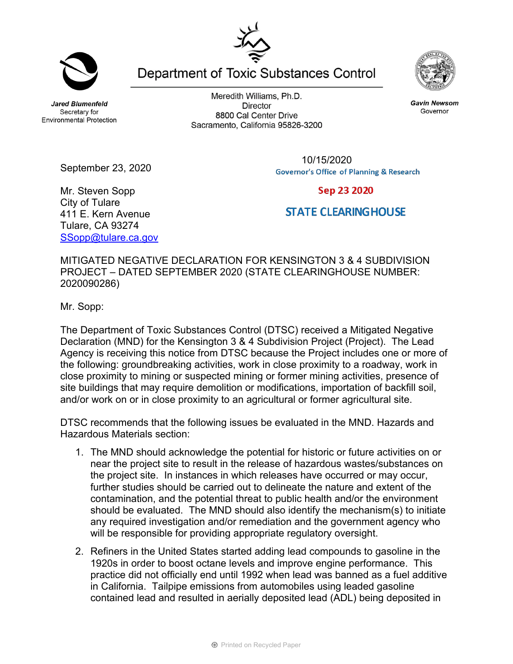**Jared Blumenfeld** Secretary for **Environmental Protection** 

Meredith Williams, Ph.D. **Director** 8800 Cal Center Drive Sacramento, California 95826-3200

> 10/15/2020**Governor's Office of Planning & Research**

Mr. Steven Sopp City of Tulare 411 E. Kern Avenue Tulare, CA 93274 SSopp@tulare.ca.gov

September 23, 2020

MITIGATED NEGATIVE DECLARATION FOR KENSINGTON 3 & 4 SUBDIVISION PROJECT – DATED SEPTEMBER 2020 (STATE CLEARINGHOUSE NUMBER: 2020090286)

Mr. Sopp:

The Department of Toxic Substances Control (DTSC) received a Mitigated Negative Declaration (MND) for the Kensington 3 & 4 Subdivision Project (Project). The Lead Agency is receiving this notice from DTSC because the Project includes one or more of the following: groundbreaking activities, work in close proximity to a roadway, work in close proximity to mining or suspected mining or former mining activities, presence of site buildings that may require demolition or modifications, importation of backfill soil, and/or work on or in close proximity to an agricultural or former agricultural site.

DTSC recommends that the following issues be evaluated in the MND. Hazards and Hazardous Materials section:

- 1. The MND should acknowledge the potential for historic or future activities on or near the project site to result in the release of hazardous wastes/substances on the project site. In instances in which releases have occurred or may occur, further studies should be carried out to delineate the nature and extent of the contamination, and the potential threat to public health and/or the environment should be evaluated. The MND should also identify the mechanism(s) to initiate any required investigation and/or remediation and the government agency who will be responsible for providing appropriate regulatory oversight.
- 2. Refiners in the United States started adding lead compounds to gasoline in the 1920s in order to boost octane levels and improve engine performance. This practice did not officially end until 1992 when lead was banned as a fuel additive in California. Tailpipe emissions from automobiles using leaded gasoline contained lead and resulted in aerially deposited lead (ADL) being deposited in

Department of Toxic Substances Control



**Gavin Newsom** Governor

Sep 23 2020

## **STATE CLEARINGHOUSE**

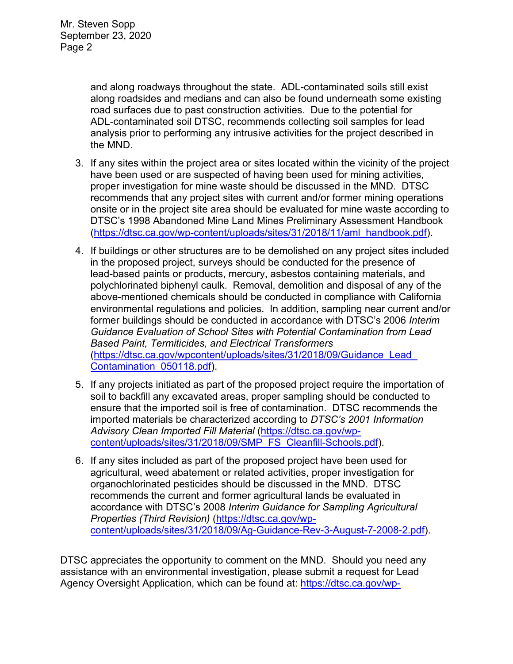and along roadways throughout the state. ADL-contaminated soils still exist along roadsides and medians and can also be found underneath some existing road surfaces due to past construction activities. Due to the potential for ADL-contaminated soil DTSC, recommends collecting soil samples for lead analysis prior to performing any intrusive activities for the project described in the MND.

- 3. If any sites within the project area or sites located within the vicinity of the project have been used or are suspected of having been used for mining activities, proper investigation for mine waste should be discussed in the MND. DTSC recommends that any project sites with current and/or former mining operations onsite or in the project site area should be evaluated for mine waste according to DTSC's 1998 Abandoned Mine Land Mines Preliminary Assessment Handbook (https://dtsc.ca.gov/wp-content/uploads/sites/31/2018/11/aml\_handbook.pdf).
- 4. If buildings or other structures are to be demolished on any project sites included in the proposed project, surveys should be conducted for the presence of lead-based paints or products, mercury, asbestos containing materials, and polychlorinated biphenyl caulk. Removal, demolition and disposal of any of the above-mentioned chemicals should be conducted in compliance with California environmental regulations and policies. In addition, sampling near current and/or former buildings should be conducted in accordance with DTSC's 2006 *Interim Guidance Evaluation of School Sites with Potential Contamination from Lead Based Paint, Termiticides, and Electrical Transformers*  (https://dtsc.ca.gov/wpcontent/uploads/sites/31/2018/09/Guidance\_Lead\_ Contamination\_050118.pdf).
- 5. If any projects initiated as part of the proposed project require the importation of soil to backfill any excavated areas, proper sampling should be conducted to ensure that the imported soil is free of contamination. DTSC recommends the imported materials be characterized according to *DTSC's 2001 Information Advisory Clean Imported Fill Material* (https://dtsc.ca.gov/wpcontent/uploads/sites/31/2018/09/SMP\_FS\_Cleanfill-Schools.pdf).
- 6. If any sites included as part of the proposed project have been used for agricultural, weed abatement or related activities, proper investigation for organochlorinated pesticides should be discussed in the MND. DTSC recommends the current and former agricultural lands be evaluated in accordance with DTSC's 2008 *Interim Guidance for Sampling Agricultural Properties (Third Revision)* (https://dtsc.ca.gov/wpcontent/uploads/sites/31/2018/09/Ag-Guidance-Rev-3-August-7-2008-2.pdf).

DTSC appreciates the opportunity to comment on the MND. Should you need any assistance with an environmental investigation, please submit a request for Lead Agency Oversight Application, which can be found at: https://dtsc.ca.gov/wp